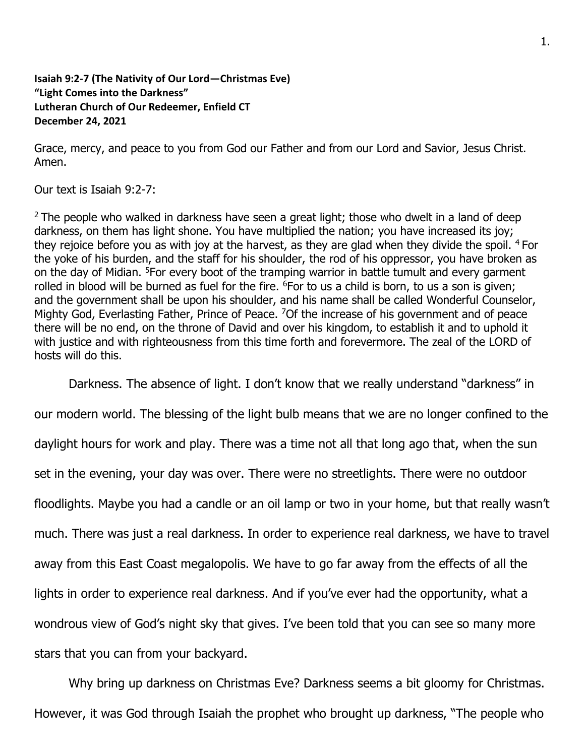## **Isaiah 9:2-7 (The Nativity of Our Lord—Christmas Eve) "Light Comes into the Darkness" Lutheran Church of Our Redeemer, Enfield CT December 24, 2021**

Grace, mercy, and peace to you from God our Father and from our Lord and Savior, Jesus Christ. Amen.

Our text is Isaiah 9:2-7:

 $2$  The people who walked in darkness have seen a great light; those who dwelt in a land of deep darkness, on them has light shone. You have multiplied the nation; you have increased its joy; they rejoice before you as with joy at the harvest, as they are glad when they divide the spoil. <sup>4</sup> For the yoke of his burden, and the staff for his shoulder, the rod of his oppressor, you have broken as on the day of Midian. <sup>5</sup>For every boot of the tramping warrior in battle tumult and every garment rolled in blood will be burned as fuel for the fire. <sup>6</sup>For to us a child is born, to us a son is given; and the government shall be upon his shoulder, and his name shall be called Wonderful Counselor, Mighty God, Everlasting Father, Prince of Peace. <sup>7</sup>Of the increase of his government and of peace there will be no end, on the throne of David and over his kingdom, to establish it and to uphold it with justice and with righteousness from this time forth and forevermore. The zeal of the LORD of hosts will do this.

Darkness. The absence of light. I don't know that we really understand "darkness" in

our modern world. The blessing of the light bulb means that we are no longer confined to the daylight hours for work and play. There was a time not all that long ago that, when the sun set in the evening, your day was over. There were no streetlights. There were no outdoor floodlights. Maybe you had a candle or an oil lamp or two in your home, but that really wasn't much. There was just a real darkness. In order to experience real darkness, we have to travel away from this East Coast megalopolis. We have to go far away from the effects of all the lights in order to experience real darkness. And if you've ever had the opportunity, what a wondrous view of God's night sky that gives. I've been told that you can see so many more stars that you can from your backyard.

Why bring up darkness on Christmas Eve? Darkness seems a bit gloomy for Christmas. However, it was God through Isaiah the prophet who brought up darkness, "The people who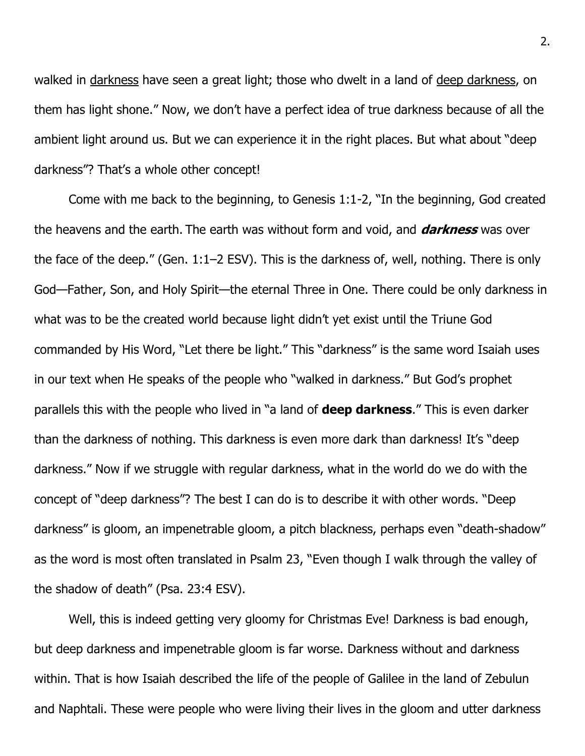walked in darkness have seen a great light; those who dwelt in a land of deep darkness, on them has light shone." Now, we don't have a perfect idea of true darkness because of all the ambient light around us. But we can experience it in the right places. But what about "deep darkness"? That's a whole other concept!

Come with me back to the beginning, to Genesis 1:1-2, "In the beginning, God created the heavens and the earth. The earth was without form and void, and **darkness** was over the face of the deep." (Gen. 1:1–2 ESV). This is the darkness of, well, nothing. There is only God—Father, Son, and Holy Spirit—the eternal Three in One. There could be only darkness in what was to be the created world because light didn't yet exist until the Triune God commanded by His Word, "Let there be light." This "darkness" is the same word Isaiah uses in our text when He speaks of the people who "walked in darkness." But God's prophet parallels this with the people who lived in "a land of **deep darkness**." This is even darker than the darkness of nothing. This darkness is even more dark than darkness! It's "deep darkness." Now if we struggle with regular darkness, what in the world do we do with the concept of "deep darkness"? The best I can do is to describe it with other words. "Deep darkness" is gloom, an impenetrable gloom, a pitch blackness, perhaps even "death-shadow" as the word is most often translated in Psalm 23, "Even though I walk through the valley of the shadow of death" (Psa. 23:4 ESV).

Well, this is indeed getting very gloomy for Christmas Eve! Darkness is bad enough, but deep darkness and impenetrable gloom is far worse. Darkness without and darkness within. That is how Isaiah described the life of the people of Galilee in the land of Zebulun and Naphtali. These were people who were living their lives in the gloom and utter darkness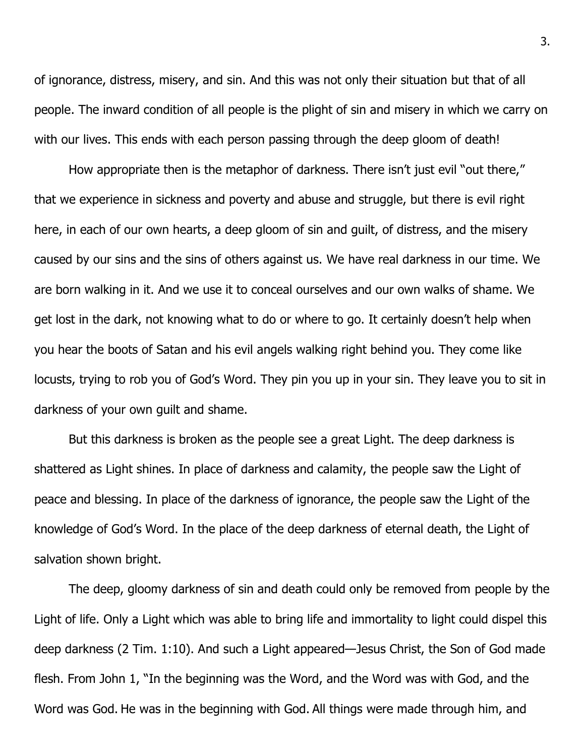of ignorance, distress, misery, and sin. And this was not only their situation but that of all people. The inward condition of all people is the plight of sin and misery in which we carry on with our lives. This ends with each person passing through the deep gloom of death!

How appropriate then is the metaphor of darkness. There isn't just evil "out there," that we experience in sickness and poverty and abuse and struggle, but there is evil right here, in each of our own hearts, a deep gloom of sin and guilt, of distress, and the misery caused by our sins and the sins of others against us. We have real darkness in our time. We are born walking in it. And we use it to conceal ourselves and our own walks of shame. We get lost in the dark, not knowing what to do or where to go. It certainly doesn't help when you hear the boots of Satan and his evil angels walking right behind you. They come like locusts, trying to rob you of God's Word. They pin you up in your sin. They leave you to sit in darkness of your own guilt and shame.

But this darkness is broken as the people see a great Light. The deep darkness is shattered as Light shines. In place of darkness and calamity, the people saw the Light of peace and blessing. In place of the darkness of ignorance, the people saw the Light of the knowledge of God's Word. In the place of the deep darkness of eternal death, the Light of salvation shown bright.

The deep, gloomy darkness of sin and death could only be removed from people by the Light of life. Only a Light which was able to bring life and immortality to light could dispel this deep darkness (2 Tim. 1:10). And such a Light appeared—Jesus Christ, the Son of God made flesh. From John 1, "In the beginning was the Word, and the Word was with God, and the Word was God. He was in the beginning with God. All things were made through him, and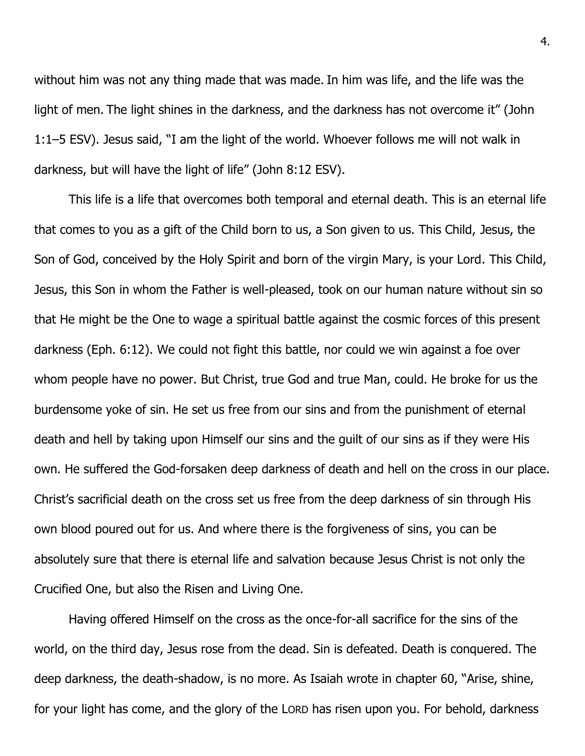without him was not any thing made that was made. In him was life, and the life was the light of men. The light shines in the darkness, and the darkness has not overcome it" (John 1:1–5 ESV). Jesus said, "I am the light of the world. Whoever follows me will not walk in darkness, but will have the light of life" (John 8:12 ESV).

This life is a life that overcomes both temporal and eternal death. This is an eternal life that comes to you as a gift of the Child born to us, a Son given to us. This Child, Jesus, the Son of God, conceived by the Holy Spirit and born of the virgin Mary, is your Lord. This Child, Jesus, this Son in whom the Father is well-pleased, took on our human nature without sin so that He might be the One to wage a spiritual battle against the cosmic forces of this present darkness (Eph. 6:12). We could not fight this battle, nor could we win against a foe over whom people have no power. But Christ, true God and true Man, could. He broke for us the burdensome yoke of sin. He set us free from our sins and from the punishment of eternal death and hell by taking upon Himself our sins and the guilt of our sins as if they were His own. He suffered the God-forsaken deep darkness of death and hell on the cross in our place. Christ's sacrificial death on the cross set us free from the deep darkness of sin through His own blood poured out for us. And where there is the forgiveness of sins, you can be absolutely sure that there is eternal life and salvation because Jesus Christ is not only the Crucified One, but also the Risen and Living One.

Having offered Himself on the cross as the once-for-all sacrifice for the sins of the world, on the third day, Jesus rose from the dead. Sin is defeated. Death is conquered. The deep darkness, the death-shadow, is no more. As Isaiah wrote in chapter 60, "Arise, shine, for your light has come, and the glory of the LORD has risen upon you. For behold, darkness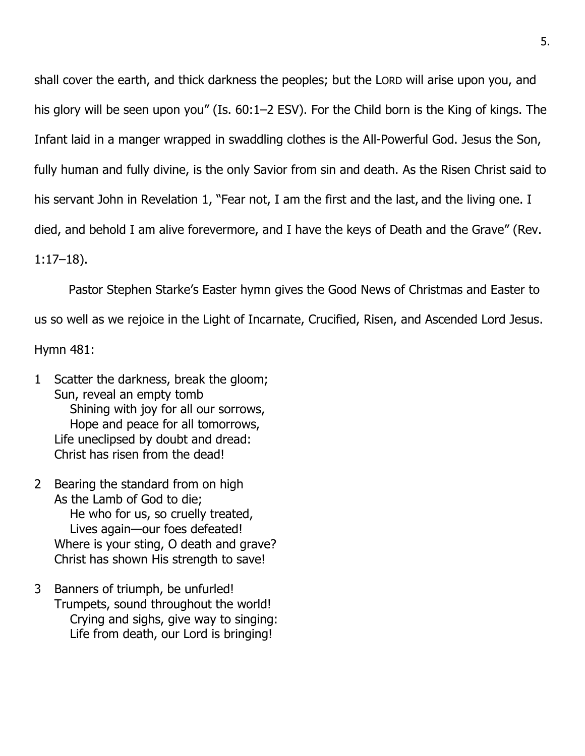shall cover the earth, and thick darkness the peoples; but the LORD will arise upon you, and his glory will be seen upon you" (Is. 60:1–2 ESV). For the Child born is the King of kings. The Infant laid in a manger wrapped in swaddling clothes is the All-Powerful God. Jesus the Son, fully human and fully divine, is the only Savior from sin and death. As the Risen Christ said to his servant John in Revelation 1, "Fear not, I am the first and the last, and the living one. I died, and behold I am alive forevermore, and I have the keys of Death and the Grave" (Rev.

1:17–18).

Pastor Stephen Starke's Easter hymn gives the Good News of Christmas and Easter to

us so well as we rejoice in the Light of Incarnate, Crucified, Risen, and Ascended Lord Jesus.

Hymn 481:

- 1 Scatter the darkness, break the gloom; Sun, reveal an empty tomb Shining with joy for all our sorrows, Hope and peace for all tomorrows, Life uneclipsed by doubt and dread: Christ has risen from the dead!
- 2 Bearing the standard from on high As the Lamb of God to die; He who for us, so cruelly treated, Lives again—our foes defeated! Where is your sting, O death and grave? Christ has shown His strength to save!
- 3 Banners of triumph, be unfurled! Trumpets, sound throughout the world! Crying and sighs, give way to singing: Life from death, our Lord is bringing!